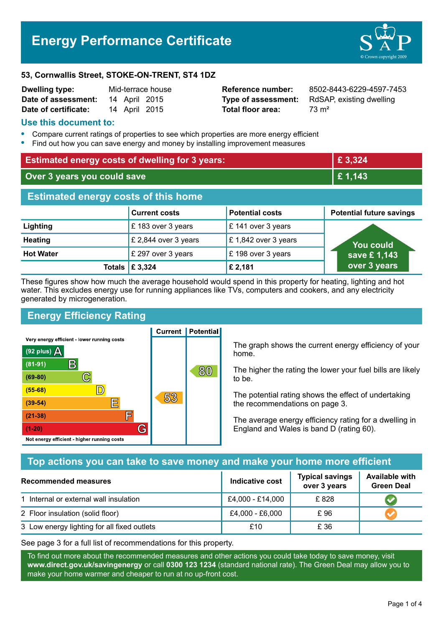# **Energy Performance Certificate**



#### **53, Cornwallis Street, STOKE-ON-TRENT, ST4 1DZ**

| <b>Dwelling type:</b> | Mid-terrace house |               |  |
|-----------------------|-------------------|---------------|--|
| Date of assessment:   |                   | 14 April 2015 |  |
| Date of certificate:  |                   | 14 April 2015 |  |

**Total floor area:** 73 m<sup>2</sup>

**Reference number:** 8502-8443-6229-4597-7453 **Type of assessment:** RdSAP, existing dwelling

## **Use this document to:**

- **•** Compare current ratings of properties to see which properties are more energy efficient
- **•** Find out how you can save energy and money by installing improvement measures

| <b>Estimated energy costs of dwelling for 3 years:</b> |                           | £3,324                 |                                 |  |
|--------------------------------------------------------|---------------------------|------------------------|---------------------------------|--|
| Over 3 years you could save                            |                           | £1,143                 |                                 |  |
| <b>Estimated energy costs of this home</b>             |                           |                        |                                 |  |
|                                                        | <b>Current costs</b>      | <b>Potential costs</b> | <b>Potential future savings</b> |  |
| Lighting                                               | £183 over 3 years         | £ 141 over 3 years     |                                 |  |
| <b>Heating</b>                                         | £ 2,844 over 3 years      | £1,842 over 3 years    | <b>You could</b>                |  |
| <b>Hot Water</b>                                       | £ 297 over 3 years        | £198 over 3 years      | save £1,143                     |  |
|                                                        | Totals $\mathsf{E}$ 3,324 | £ 2,181                | over 3 years                    |  |

These figures show how much the average household would spend in this property for heating, lighting and hot water. This excludes energy use for running appliances like TVs, computers and cookers, and any electricity generated by microgeneration.

# **Energy Efficiency Rating**

 $\mathbb{C}$ 

 $\mathbb{D}$ 

F

厏

G

Very energy efficient - lower running costs

B

Not energy efficient - higher running costs

 $(92$  plus)

 $(81 - 91)$ 

 $(69 - 80)$ 

 $(55-68)$ 

 $(39 - 54)$ 

 $(21-38)$ 

 $(1-20)$ 

A

**Current | Potential** 

53



The higher the rating the lower your fuel bills are likely to be.

The potential rating shows the effect of undertaking the recommendations on page 3.

The average energy efficiency rating for a dwelling in England and Wales is band D (rating 60).

# **Top actions you can take to save money and make your home more efficient**

80

| <b>Recommended measures</b>                 | <b>Indicative cost</b> | <b>Typical savings</b><br>over 3 years | <b>Available with</b><br><b>Green Deal</b> |
|---------------------------------------------|------------------------|----------------------------------------|--------------------------------------------|
| 1 Internal or external wall insulation      | £4,000 - £14,000       | £828                                   |                                            |
| 2 Floor insulation (solid floor)            | £4,000 - £6,000        | £96                                    |                                            |
| 3 Low energy lighting for all fixed outlets | £10                    | £ 36                                   |                                            |

See page 3 for a full list of recommendations for this property.

To find out more about the recommended measures and other actions you could take today to save money, visit **www.direct.gov.uk/savingenergy** or call **0300 123 1234** (standard national rate). The Green Deal may allow you to make your home warmer and cheaper to run at no up-front cost.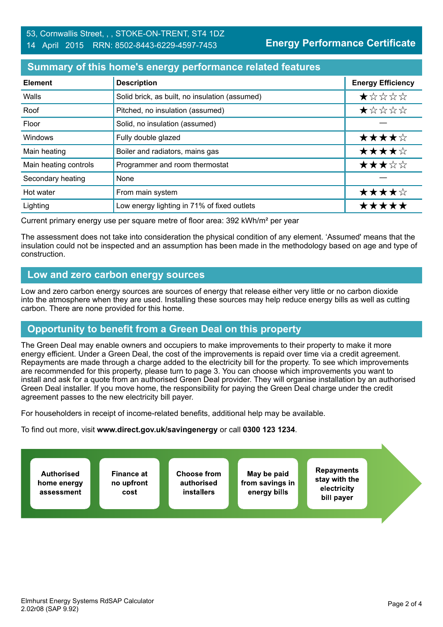#### **Summary of this home's energy performance related features**

| <b>Element</b>        | <b>Description</b>                             | <b>Energy Efficiency</b> |
|-----------------------|------------------------------------------------|--------------------------|
| Walls                 | Solid brick, as built, no insulation (assumed) | $\star$ * * * *          |
| Roof                  | Pitched, no insulation (assumed)               | *****                    |
| Floor                 | Solid, no insulation (assumed)                 |                          |
| Windows               | Fully double glazed                            | ★★★★☆                    |
| Main heating          | Boiler and radiators, mains gas                | ★★★★☆                    |
| Main heating controls | Programmer and room thermostat                 | ★★★☆☆                    |
| Secondary heating     | None                                           |                          |
| Hot water             | From main system                               | ★★★★☆                    |
| Lighting              | Low energy lighting in 71% of fixed outlets    | *****                    |

Current primary energy use per square metre of floor area: 392 kWh/m² per year

The assessment does not take into consideration the physical condition of any element. 'Assumed' means that the insulation could not be inspected and an assumption has been made in the methodology based on age and type of construction.

#### **Low and zero carbon energy sources**

Low and zero carbon energy sources are sources of energy that release either very little or no carbon dioxide into the atmosphere when they are used. Installing these sources may help reduce energy bills as well as cutting carbon. There are none provided for this home.

# **Opportunity to benefit from a Green Deal on this property**

The Green Deal may enable owners and occupiers to make improvements to their property to make it more energy efficient. Under a Green Deal, the cost of the improvements is repaid over time via a credit agreement. Repayments are made through a charge added to the electricity bill for the property. To see which improvements are recommended for this property, please turn to page 3. You can choose which improvements you want to install and ask for a quote from an authorised Green Deal provider. They will organise installation by an authorised Green Deal installer. If you move home, the responsibility for paying the Green Deal charge under the credit agreement passes to the new electricity bill payer.

For householders in receipt of income-related benefits, additional help may be available.

To find out more, visit **www.direct.gov.uk/savingenergy** or call **0300 123 1234**.

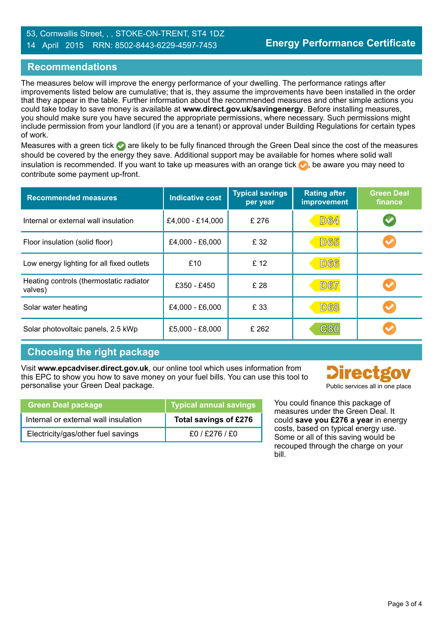#### 53, Cornwallis Street, , , STOKE-ON-TRENT, ST4 1DZ 14 April 2015 RRN: 8502-8443-6229-4597-7453

## **Recommendations**

The measures below will improve the energy performance of your dwelling. The performance ratings after improvements listed below are cumulative; that is, they assume the improvements have been installed in the order that they appear in the table. Further information about the recommended measures and other simple actions you could take today to save money is available at **www.direct.gov.uk/savingenergy**. Before installing measures, you should make sure you have secured the appropriate permissions, where necessary. Such permissions might include permission from your landlord (if you are a tenant) or approval under Building Regulations for certain types of work.

Measures with a green tick are likely to be fully financed through the Green Deal since the cost of the measures should be covered by the energy they save. Additional support may be available for homes where solid wall insulation is recommended. If you want to take up measures with an orange tick  $\bullet$ , be aware you may need to contribute some payment up-front.

| <b>Recommended measures</b>                        | <b>Indicative cost</b> | <b>Typical savings</b><br>per year | <b>Rating after</b><br>improvement | <b>Green Deal</b><br>finance |
|----------------------------------------------------|------------------------|------------------------------------|------------------------------------|------------------------------|
| Internal or external wall insulation               | £4,000 - £14,000       | £ 276                              | <b>D64</b>                         |                              |
| Floor insulation (solid floor)                     | £4,000 - £6,000        | £ 32                               | <b>D65</b>                         |                              |
| Low energy lighting for all fixed outlets          | £10                    | £ 12                               | <b>D66</b>                         |                              |
| Heating controls (thermostatic radiator<br>valves) | £350 - £450            | £ 28                               | <b>D67</b>                         |                              |
| Solar water heating                                | £4,000 - £6,000        | £ 33                               | <b>D68</b>                         |                              |
| Solar photovoltaic panels, 2.5 kWp                 | £5,000 - £8,000        | £ 262                              | C80                                |                              |

# **Choosing the right package**

Visit **www.epcadviser.direct.gov.uk**, our online tool which uses information from this EPC to show you how to save money on your fuel bills. You can use this tool to personalise your Green Deal package. Public services all in one place

| <b>Green Deal package</b>            | ,Typical annual savings <sup>\</sup> |
|--------------------------------------|--------------------------------------|
| Internal or external wall insulation | Total savings of £276                |
| Electricity/gas/other fuel savings   | $f0/$ $f276/$ $f0$                   |

**hrect** 

You could finance this package of measures under the Green Deal. It could **save you £276 a year** in energy costs, based on typical energy use. Some or all of this saving would be recouped through the charge on your bill.